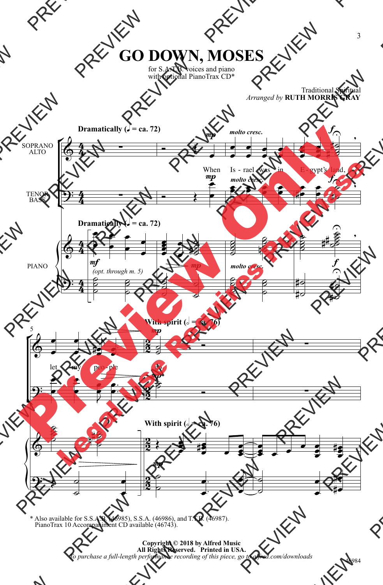## **GO DOWN, MOSES**

for S.A.T.B. voices and piano with optional PianoTrax CD\*

## Traditional Spiritual *Arranged by* **RUTH MORRIS GRAY**



\* Also available for S.S.A.B. (46985), S.S.A. (46986), and T.T.B. (46987). PianoTrax 10 Accompaniment CD available (46743).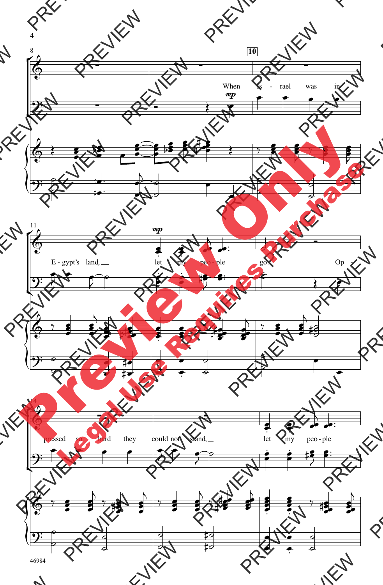

46984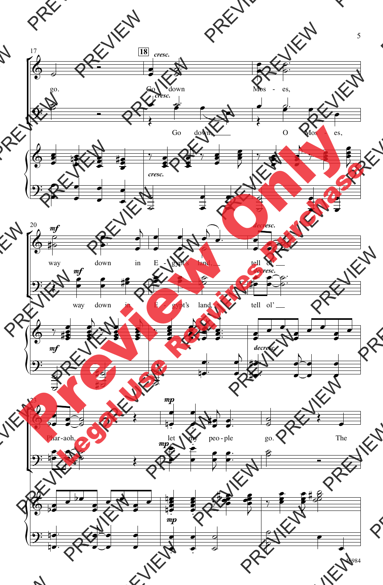

46984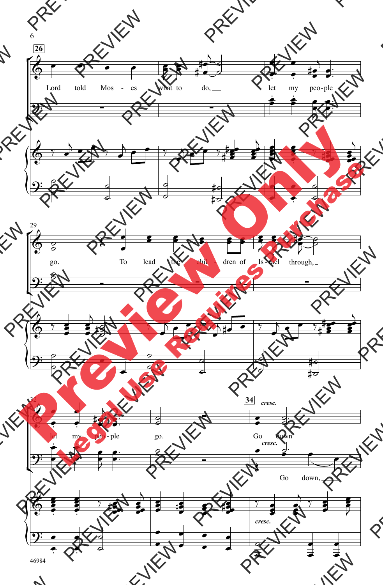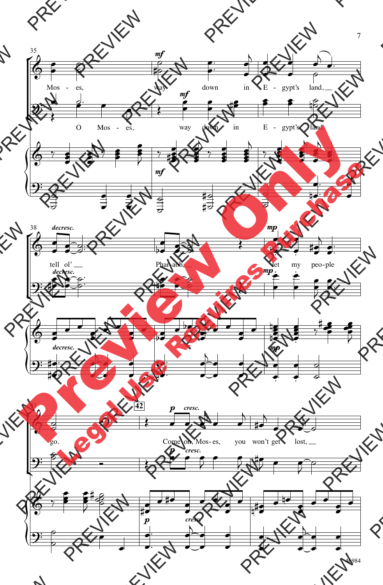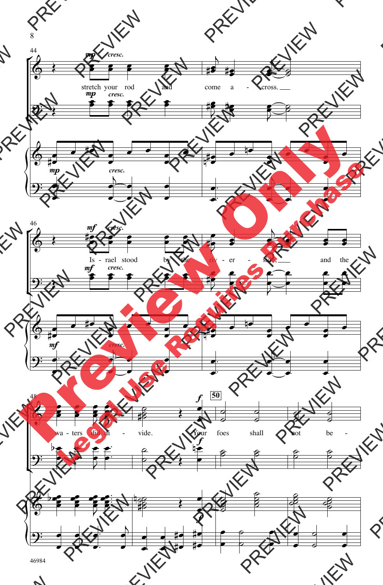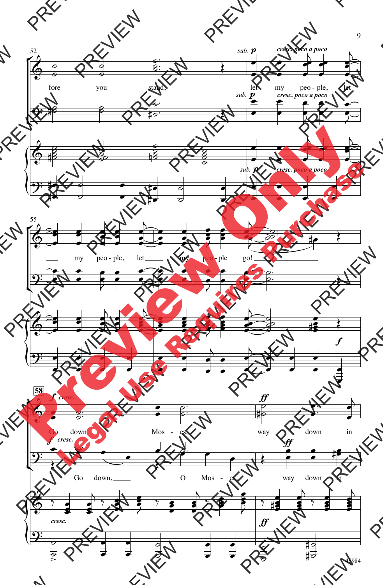